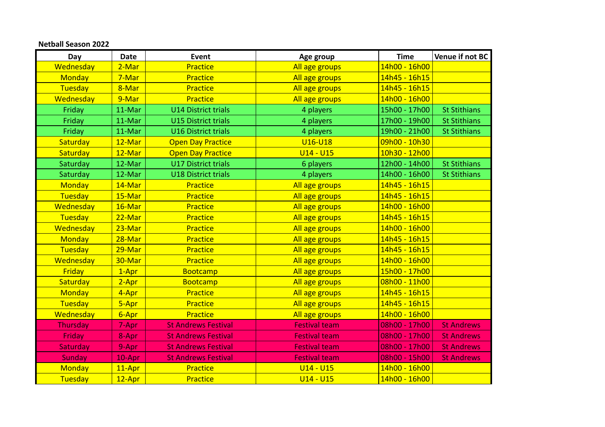## **Netball Season 2022**

| Day            | <b>Date</b> | Event                      | Age group            | <b>Time</b>   | Venue if not BC     |
|----------------|-------------|----------------------------|----------------------|---------------|---------------------|
| Wednesday      | 2-Mar       | Practice                   | All age groups       | 14h00 - 16h00 |                     |
| <b>Monday</b>  | 7-Mar       | Practice                   | All age groups       | 14h45 - 16h15 |                     |
| Tuesday        | 8-Mar       | Practice                   | All age groups       | 14h45 - 16h15 |                     |
| Wednesday      | 9-Mar       | Practice                   | All age groups       | 14h00 - 16h00 |                     |
| Friday         | 11-Mar      | <b>U14 District trials</b> | 4 players            | 15h00 - 17h00 | <b>St Stithians</b> |
| Friday         | 11-Mar      | <b>U15 District trials</b> | 4 players            | 17h00 - 19h00 | <b>St Stithians</b> |
| Friday         | 11-Mar      | <b>U16 District trials</b> | 4 players            | 19h00 - 21h00 | <b>St Stithians</b> |
| Saturday       | 12-Mar      | <b>Open Day Practice</b>   | <b>U16-U18</b>       | 09h00 - 10h30 |                     |
| Saturday       | 12-Mar      | <b>Open Day Practice</b>   | $U14 - U15$          | 10h30 - 12h00 |                     |
| Saturday       | 12-Mar      | <b>U17 District trials</b> | 6 players            | 12h00 - 14h00 | <b>St Stithians</b> |
| Saturday       | 12-Mar      | <b>U18 District trials</b> | 4 players            | 14h00 - 16h00 | <b>St Stithians</b> |
| <b>Monday</b>  | 14-Mar      | Practice                   | All age groups       | 14h45 - 16h15 |                     |
| <b>Tuesday</b> | 15-Mar      | Practice                   | All age groups       | 14h45 - 16h15 |                     |
| Wednesday      | 16-Mar      | Practice                   | All age groups       | 14h00 - 16h00 |                     |
| Tuesday        | 22-Mar      | Practice                   | All age groups       | 14h45 - 16h15 |                     |
| Wednesday      | 23-Mar      | Practice                   | All age groups       | 14h00 - 16h00 |                     |
| Monday         | 28-Mar      | Practice                   | All age groups       | 14h45 - 16h15 |                     |
| <b>Tuesday</b> | 29-Mar      | Practice                   | All age groups       | 14h45 - 16h15 |                     |
| Wednesday      | 30-Mar      | Practice                   | All age groups       | 14h00 - 16h00 |                     |
| <b>Friday</b>  | $1-Apr$     | <b>Bootcamp</b>            | All age groups       | 15h00 - 17h00 |                     |
| Saturday       | $2-Apr$     | <b>Bootcamp</b>            | All age groups       | 08h00 - 11h00 |                     |
| Monday         | 4-Apr       | Practice                   | All age groups       | 14h45 - 16h15 |                     |
| Tuesday        | 5-Apr       | Practice                   | All age groups       | 14h45 - 16h15 |                     |
| Wednesday      | 6-Apr       | Practice                   | All age groups       | 14h00 - 16h00 |                     |
| Thursday       | 7-Apr       | <b>St Andrews Festival</b> | <b>Festival team</b> | 08h00 - 17h00 | <b>St Andrews</b>   |
| Friday         | 8-Apr       | <b>St Andrews Festival</b> | <b>Festival team</b> | 08h00 - 17h00 | <b>St Andrews</b>   |
| Saturday       | 9-Apr       | <b>St Andrews Festival</b> | <b>Festival team</b> | 08h00 - 17h00 | <b>St Andrews</b>   |
| <b>Sunday</b>  | 10-Apr      | <b>St Andrews Festival</b> | <b>Festival team</b> | 08h00 - 15h00 | <b>St Andrews</b>   |
| <b>Monday</b>  | 11-Apr      | Practice                   | $U14 - U15$          | 14h00 - 16h00 |                     |
| Tuesday        | 12-Apr      | Practice                   | $U14 - U15$          | 14h00 - 16h00 |                     |